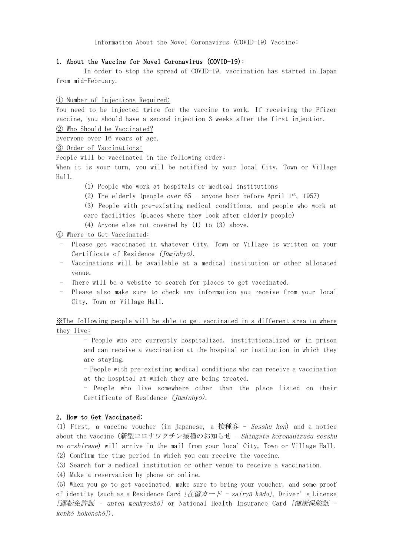Information About the Novel Coronavirus (COVID-19) Vaccine:

### 1. About the Vaccine for Novel Coronavirus (COVID-19):

In order to stop the spread of COVID-19, vaccination has started in Japan from mid-February.

### ① Number of Injections Required:

You need to be injected twice for the vaccine to work. If receiving the Pfizer vaccine, you should have a second injection 3 weeks after the first injection. ② Who Should be Vaccinated?

Everyone over 16 years of age.

### ③ Order of Vaccinations:

People will be vaccinated in the following order:

When it is your turn, you will be notified by your local City, Town or Village Hall.

- (1) People who work at hospitals or medical institutions
- (2) The elderly (people over  $65$  anyone born before April  $1^{st}$ , 1957)
- (3) People with pre-existing medical conditions, and people who work at care facilities (places where they look after elderly people)
- (4) Anyone else not covered by (1) to (3) above.

④ Where to Get Vaccinated:

- Please get vaccinated in whatever City, Town or Village is written on your Certificate of Residence (Jūminhyō).
- Vaccinations will be available at a medical institution or other allocated venue.
- There will be a website to search for places to get vaccinated.
- Please also make sure to check any information you receive from your local City, Town or Village Hall.

※The following people will be able to get vaccinated in a different area to where they live:

- People who are currently hospitalized, institutionalized or in prison and can receive a vaccination at the hospital or institution in which they are staying.

- People with pre-existing medical conditions who can receive a vaccination at the hospital at which they are being treated.

- People who live somewhere other than the place listed on their Certificate of Residence (Jūminhyō).

### 2. How to Get Vaccinated:

(1) First, a vaccine voucher (in Japanese, a 接種券  $-$  Sesshu ken) and a notice about the vaccine (新型コロナワクチン接種のお知らせ – Shingata koronauirusu sesshu no o-shirase) will arrive in the mail from your local City, Town or Village Hall.

(2) Confirm the time period in which you can receive the vaccine.

(3) Search for a medical institution or other venue to receive a vaccination.

(4) Make a reservation by phone or online.

(5) When you go to get vaccinated, make sure to bring your voucher, and some proof of identity (such as a Residence Card  $[在留カード - zairyū kādo], Driver's License$ [運転免許証 – unten menkyoshō] or National Health Insurance Card [健康保険証 kenkō hokenshō]).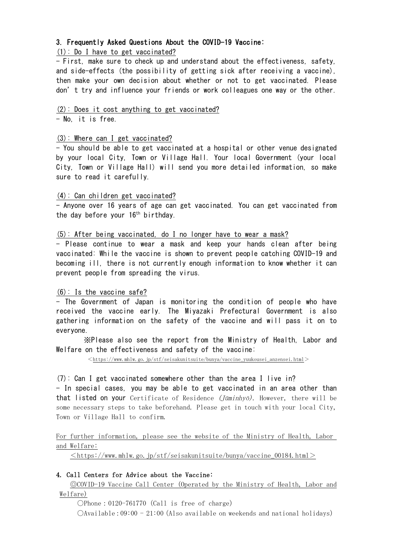# 3. Frequently Asked Questions About the COVID-19 Vaccine:

# (1): Do I have to get vaccinated?

- First, make sure to check up and understand about the effectiveness, safety, and side-effects (the possibility of getting sick after receiving a vaccine), then make your own decision about whether or not to get vaccinated. Please don't try and influence your friends or work colleagues one way or the other.

# (2): Does it cost anything to get vaccinated?

- No, it is free.

# (3): Where can I get vaccinated?

- You should be able to get vaccinated at a hospital or other venue designated by your local City, Town or Village Hall. Your local Government (your local City, Town or Village Hall) will send you more detailed information, so make sure to read it carefully.

# (4): Can children get vaccinated?

- Anyone over 16 years of age can get vaccinated. You can get vaccinated from the day before your 16<sup>th</sup> birthday.

# (5): After being vaccinated, do I no longer have to wear a mask?

- Please continue to wear a mask and keep your hands clean after being vaccinated: While the vaccine is shown to prevent people catching COVID-19 and becoming ill, there is not currently enough information to know whether it can prevent people from spreading the virus.

# (6): Is the vaccine safe?

- The Government of Japan is monitoring the condition of people who have received the vaccine early. The Miyazaki Prefectural Government is also gathering information on the safety of the vaccine and will pass it on to everyone.

※Please also see the report from the Ministry of Health, Labor and Welfare on the effectiveness and safety of the vaccine:

 $\langle$ https://www.mhlw.go.jp/stf/seisakunitsuite/bunya/vaccine\_yuukousei\_anzensei.html $>$ 

# (7): Can I get vaccinated somewhere other than the area I live in?

- In special cases, you may be able to get vaccinated in an area other than **that listed on your** Certificate of Residence ( $\overline{\text{J}}$ *Caminhyō*). However, there will be some necessary steps to take beforehand. Please get in touch with your local City, Town or Village Hall to confirm.

# For further information, please see the website of the Ministry of Health, Labor and Welfare:

 $\langle$ https://www.mhlw.go.jp/stf/seisakunitsuite/bunya/vaccine\_00184.html $>$ 

# 4. Call Centers for Advice about the Vaccine:

◎COVID-19 Vaccine Call Center (Operated by the Ministry of Health, Labor and Welfare)

 $OPhone: 0120-761770$  (Call is free of charge)

 $\bigcirc$ Available:09:00 - 21:00 (Also available on weekends and national holidays)